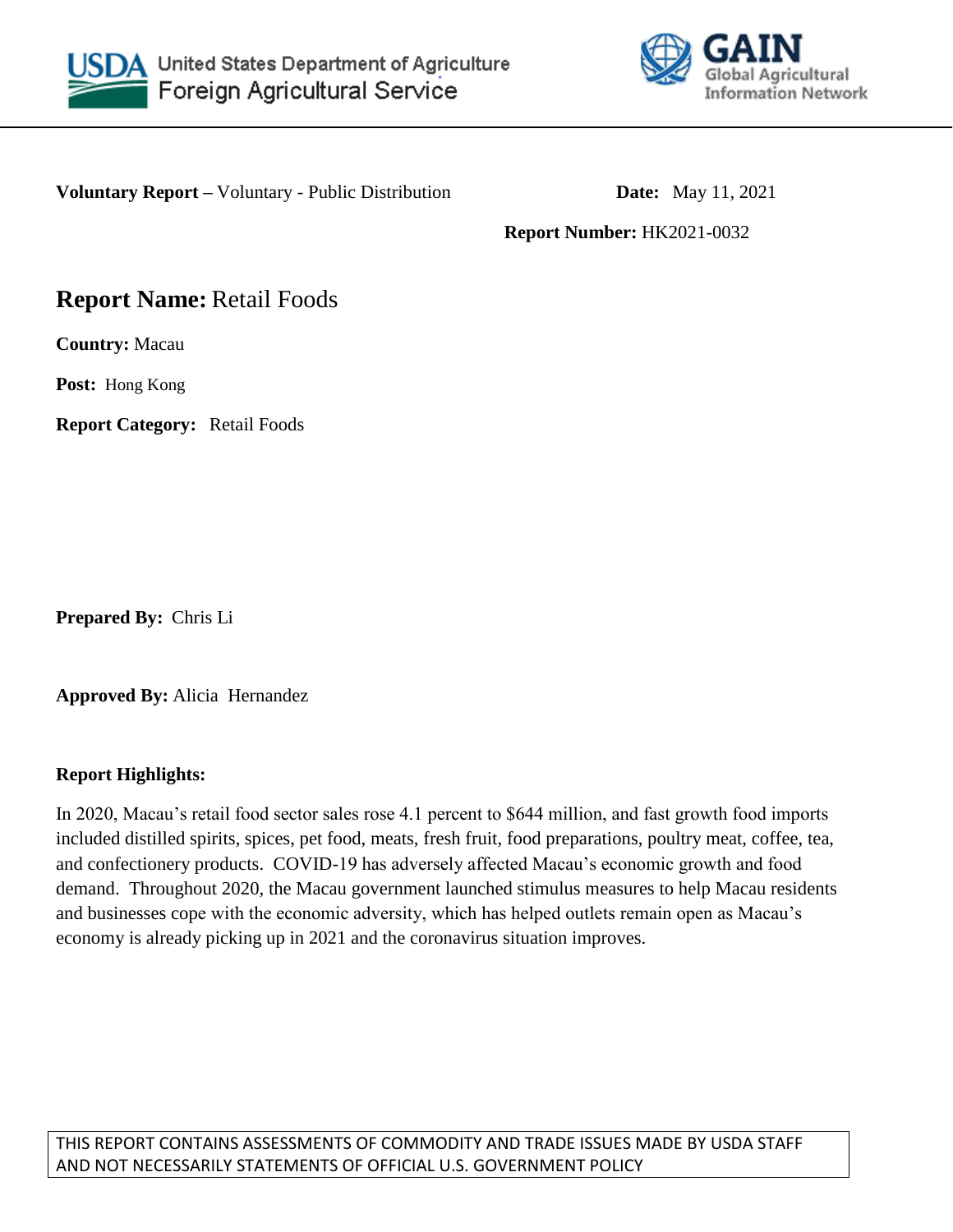



**Voluntary Report** – Voluntary - Public Distribution **Date:** May 11, 2021

**Report Number:** HK2021-0032

# **Report Name:** Retail Foods

**Country:** Macau

**Post:** Hong Kong

**Report Category:** Retail Foods

**Prepared By:** Chris Li

**Approved By:** Alicia Hernandez

# **Report Highlights:**

In 2020, Macau's retail food sector sales rose 4.1 percent to \$644 million, and fast growth food imports included distilled spirits, spices, pet food, meats, fresh fruit, food preparations, poultry meat, coffee, tea, and confectionery products. COVID-19 has adversely affected Macau's economic growth and food demand. Throughout 2020, the Macau government launched stimulus measures to help Macau residents and businesses cope with the economic adversity, which has helped outlets remain open as Macau's economy is already picking up in 2021 and the coronavirus situation improves.

THIS REPORT CONTAINS ASSESSMENTS OF COMMODITY AND TRADE ISSUES MADE BY USDA STAFF AND NOT NECESSARILY STATEMENTS OF OFFICIAL U.S. GOVERNMENT POLICY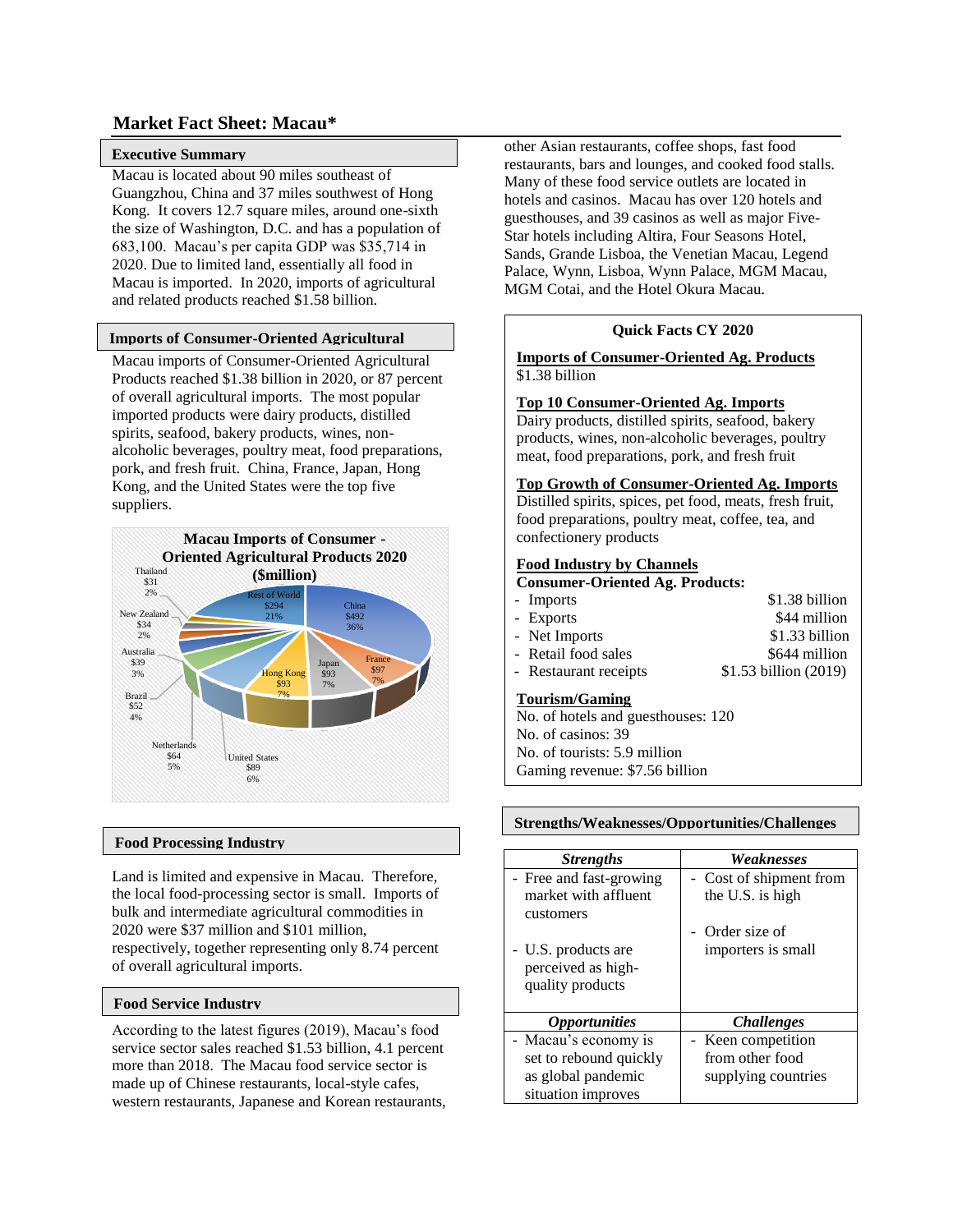### **Market Fact Sheet: Macau\***

#### **Executive Summary**

Macau is located about 90 miles southeast of Guangzhou, China and 37 miles southwest of Hong Kong. It covers 12.7 square miles, around one-sixth the size of Washington, D.C. and has a population of 683,100. Macau's per capita GDP was \$35,714 in 2020. Due to limited land, essentially all food in Macau is imported. In 2020, imports of agricultural and related products reached \$1.58 billion.

#### **Imports of Consumer-Oriented Agricultural**

**Macau imports of Consumer-Oriented Agricultural** Products reached \$1.38 billion in 2020, or 87 percent of overall agricultural imports. The most popular imported products were dairy products, distilled spirits, seafood, bakery products, wines, nonalcoholic beverages, poultry meat, food preparations, pork, and fresh fruit. China, France, Japan, Hong Kong, and the United States were the top five suppliers.



#### **Food Processing Industry**

Land is limited and expensive in Macau. Therefore, the local food-processing sector is small. Imports of bulk and intermediate agricultural commodities in 2020 were \$37 million and \$101 million, respectively, together representing only 8.74 percent of overall agricultural imports.

#### **Food Service Industry**

According to the latest figures (2019), Macau's food service sector sales reached \$1.53 billion, 4.1 percent more than 2018. The Macau food service sector is made up of Chinese restaurants, local-style cafes, western restaurants, Japanese and Korean restaurants, other Asian restaurants, coffee shops, fast food restaurants, bars and lounges, and cooked food stalls. Many of these food service outlets are located in hotels and casinos. Macau has over 120 hotels and guesthouses, and 39 casinos as well as major Five-Star hotels including Altira, Four Seasons Hotel, Sands, Grande Lisboa, the Venetian Macau, Legend Palace, Wynn, Lisboa, Wynn Palace, MGM Macau, MGM Cotai, and the Hotel Okura Macau.

#### **Quick Facts CY 2020**

**Imports of Consumer-Oriented Ag. Products** \$1.38 billion

#### **Top 10 Consumer-Oriented Ag. Imports**

Dairy products, distilled spirits, seafood, bakery products, wines, non-alcoholic beverages, poultry meat, food preparations, pork, and fresh fruit

#### **Top Growth of Consumer-Oriented Ag. Imports**

Distilled spirits, spices, pet food, meats, fresh fruit, food preparations, poultry meat, coffee, tea, and confectionery products

#### **Food Industry by Channels**

**Consumer-Oriented Ag. Products:**

| - Imports             | \$1.38 billion         |
|-----------------------|------------------------|
| - Exports             | \$44 million           |
| - Net Imports         | \$1.33 billion         |
| - Retail food sales   | \$644 million          |
| - Restaurant receipts | $$1.53$ billion (2019) |
|                       |                        |

#### **Tourism/Gaming**

No. of hotels and guesthouses: 120 No. of casinos: 39 No. of tourists: 5.9 million Gaming revenue: \$7.56 billion

#### **GDP/Population**  $S$ trengths/Weaknesses/Opportunities/Challenges

| <b>Strengths</b>            | Weaknesses              |
|-----------------------------|-------------------------|
| - Free and fast-growing     | - Cost of shipment from |
| market with affluent        | the U.S. is high        |
| customers                   |                         |
|                             | Order size of           |
| - U.S. products are         | importers is small      |
| perceived as high-          |                         |
| quality products            |                         |
|                             |                         |
| <i><b>Opportunities</b></i> | <b>Challenges</b>       |
| - Macau's economy is        | - Keen competition      |
| set to rebound quickly      | from other food         |
| as global pandemic          | supplying countries     |
| situation improves          |                         |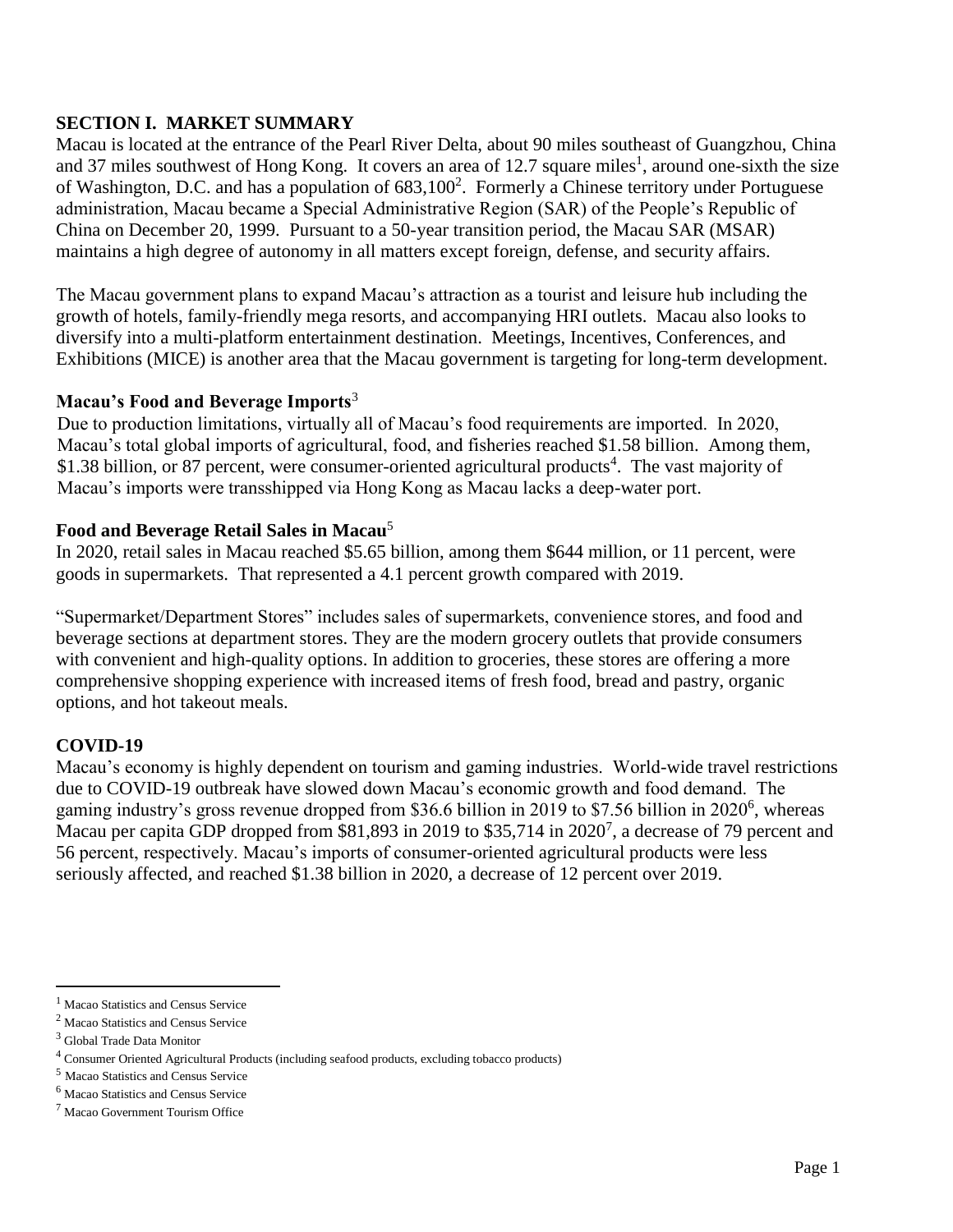# **SECTION I. MARKET SUMMARY**

Macau is located at the entrance of the Pearl River Delta, about 90 miles southeast of Guangzhou, China and 37 miles southwest of Hong Kong. It covers an area of 12.7 square miles<sup>1</sup>, around one-sixth the size of Washington, D.C. and has a population of  $683,100^2$ . Formerly a Chinese territory under Portuguese administration, Macau became a Special Administrative Region (SAR) of the People's Republic of China on December 20, 1999. Pursuant to a 50-year transition period, the Macau SAR (MSAR) maintains a high degree of autonomy in all matters except foreign, defense, and security affairs.

The Macau government plans to expand Macau's attraction as a tourist and leisure hub including the growth of hotels, family-friendly mega resorts, and accompanying HRI outlets. Macau also looks to diversify into a multi-platform entertainment destination. Meetings, Incentives, Conferences, and Exhibitions (MICE) is another area that the Macau government is targeting for long-term development.

### **Macau's Food and Beverage Imports**<sup>3</sup>

Due to production limitations, virtually all of Macau's food requirements are imported. In 2020, Macau's total global imports of agricultural, food, and fisheries reached \$1.58 billion. Among them, \$1.38 billion, or 87 percent, were consumer-oriented agricultural products<sup>4</sup>. The vast majority of Macau's imports were transshipped via Hong Kong as Macau lacks a deep-water port.

### **Food and Beverage Retail Sales in Macau**<sup>5</sup>

In 2020, retail sales in Macau reached \$5.65 billion, among them \$644 million, or 11 percent, were goods in supermarkets. That represented a 4.1 percent growth compared with 2019.

"Supermarket/Department Stores" includes sales of supermarkets, convenience stores, and food and beverage sections at department stores. They are the modern grocery outlets that provide consumers with convenient and high-quality options. In addition to groceries, these stores are offering a more comprehensive shopping experience with increased items of fresh food, bread and pastry, organic options, and hot takeout meals.

### **COVID-19**

Macau's economy is highly dependent on tourism and gaming industries. World-wide travel restrictions due to COVID-19 outbreak have slowed down Macau's economic growth and food demand. The gaming industry's gross revenue dropped from \$36.6 billion in 2019 to \$7.56 billion in 2020<sup>6</sup>, whereas Macau per capita GDP dropped from \$81,893 in 2019 to \$35,714 in 2020<sup>7</sup>, a decrease of 79 percent and 56 percent, respectively. Macau's imports of consumer-oriented agricultural products were less seriously affected, and reached \$1.38 billion in 2020, a decrease of 12 percent over 2019.

 $\overline{\phantom{a}}$ 

<sup>&</sup>lt;sup>1</sup> Macao Statistics and Census Service

<sup>2</sup> Macao Statistics and Census Service

<sup>3</sup> Global Trade Data Monitor

<sup>4</sup> Consumer Oriented Agricultural Products (including seafood products, excluding tobacco products)

<sup>5</sup> Macao Statistics and Census Service

<sup>6</sup> Macao Statistics and Census Service

<sup>7</sup> Macao Government Tourism Office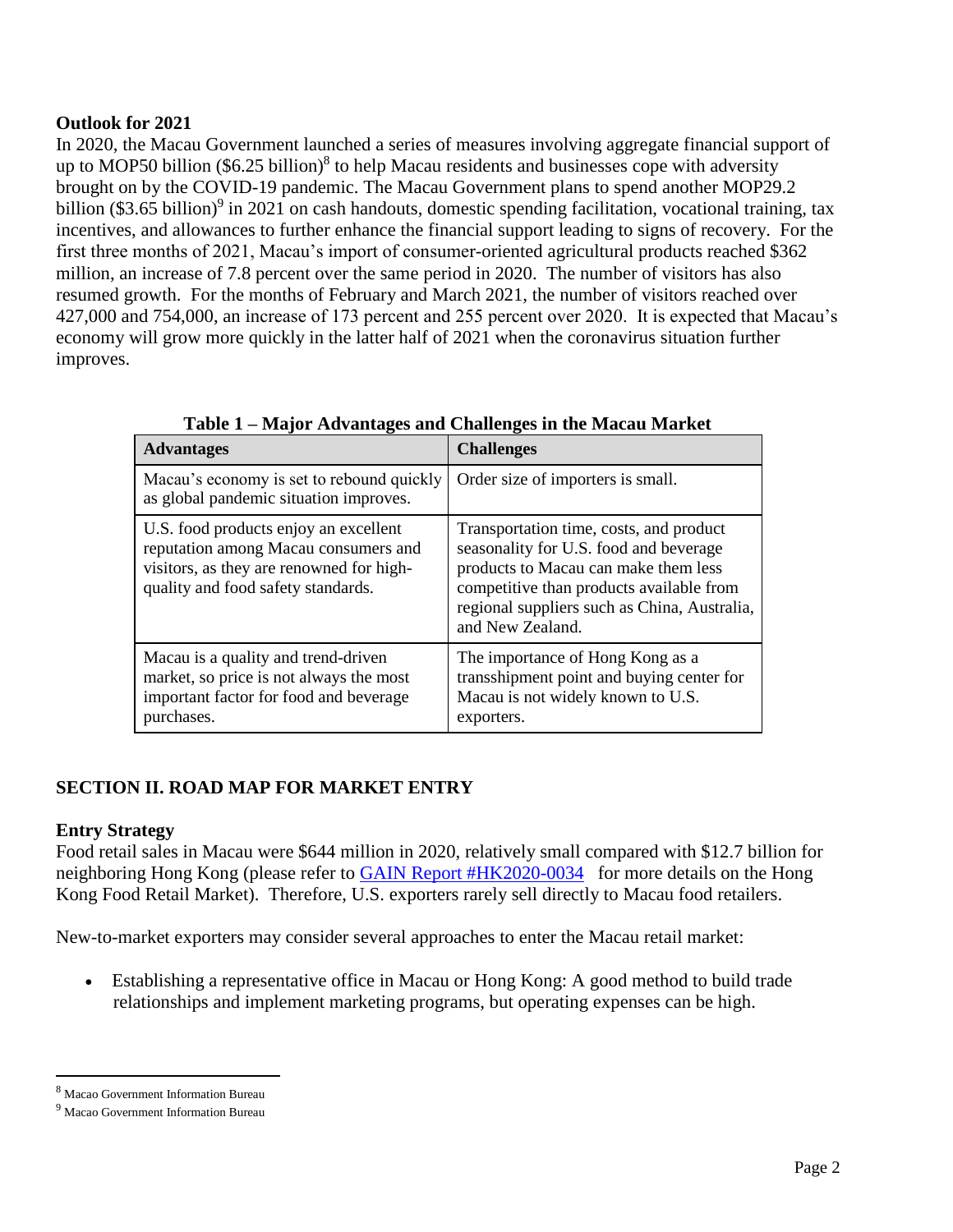# **Outlook for 2021**

In 2020, the Macau Government launched a series of measures involving aggregate financial support of up to MOP50 billion  $(\$6.25$  billion)<sup>8</sup> to help Macau residents and businesses cope with adversity brought on by the COVID-19 pandemic. The Macau Government plans to spend another MOP29.2 billion (\$3.65 billion)<sup>9</sup> in 2021 on cash handouts, domestic spending facilitation, vocational training, tax incentives, and allowances to further enhance the financial support leading to signs of recovery. For the first three months of 2021, Macau's import of consumer-oriented agricultural products reached \$362 million, an increase of 7.8 percent over the same period in 2020. The number of visitors has also resumed growth. For the months of February and March 2021, the number of visitors reached over 427,000 and 754,000, an increase of 173 percent and 255 percent over 2020. It is expected that Macau's economy will grow more quickly in the latter half of 2021 when the coronavirus situation further improves.

| <b>Advantages</b>                                                                                                                                               | <b>Challenges</b>                                                                                                                                                                                                                         |
|-----------------------------------------------------------------------------------------------------------------------------------------------------------------|-------------------------------------------------------------------------------------------------------------------------------------------------------------------------------------------------------------------------------------------|
| Macau's economy is set to rebound quickly<br>as global pandemic situation improves.                                                                             | Order size of importers is small.                                                                                                                                                                                                         |
| U.S. food products enjoy an excellent<br>reputation among Macau consumers and<br>visitors, as they are renowned for high-<br>quality and food safety standards. | Transportation time, costs, and product<br>seasonality for U.S. food and beverage<br>products to Macau can make them less<br>competitive than products available from<br>regional suppliers such as China, Australia,<br>and New Zealand. |
| Macau is a quality and trend-driven<br>market, so price is not always the most<br>important factor for food and beverage<br>purchases.                          | The importance of Hong Kong as a<br>transshipment point and buying center for<br>Macau is not widely known to U.S.<br>exporters.                                                                                                          |

**Table 1 – Major Advantages and Challenges in the Macau Market**

# **SECTION II. ROAD MAP FOR MARKET ENTRY**

# **Entry Strategy**

Food retail sales in Macau were \$644 million in 2020, relatively small compared with \$12.7 billion for neighboring Hong Kong (please refer to [GAIN Report #HK2020-0034](https://www.usfoods-hongkong.net/wps/wp-content/uploads/Hong-Kong-Retail-Food-Industry.pdf) for more details on the Hong Kong Food Retail Market). Therefore, U.S. exporters rarely sell directly to Macau food retailers.

New-to-market exporters may consider several approaches to enter the Macau retail market:

 Establishing a representative office in Macau or Hong Kong: A good method to build trade relationships and implement marketing programs, but operating expenses can be high.

 $\overline{a}$ 

<sup>8</sup> Macao Government Information Bureau

<sup>9</sup> Macao Government Information Bureau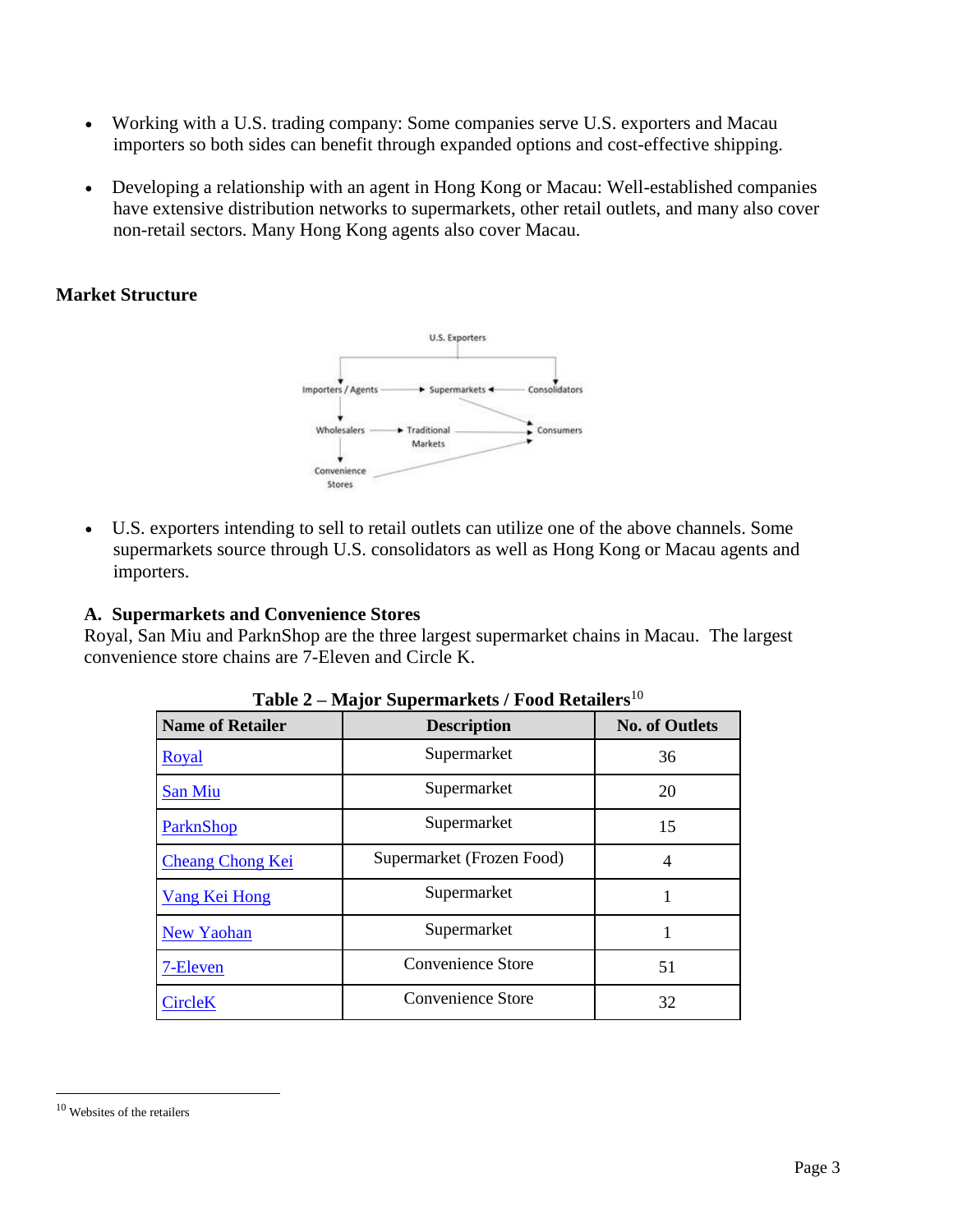- Working with a U.S. trading company: Some companies serve U.S. exporters and Macau importers so both sides can benefit through expanded options and cost-effective shipping.
- Developing a relationship with an agent in Hong Kong or Macau: Well-established companies have extensive distribution networks to supermarkets, other retail outlets, and many also cover non-retail sectors. Many Hong Kong agents also cover Macau.

# **Market Structure**



 U.S. exporters intending to sell to retail outlets can utilize one of the above channels. Some supermarkets source through U.S. consolidators as well as Hong Kong or Macau agents and importers.

# **A. Supermarkets and Convenience Stores**

Royal, San Miu and ParknShop are the three largest supermarket chains in Macau. The largest convenience store chains are 7-Eleven and Circle K.

| <b>Name of Retailer</b> | <b>Description</b>        | <b>No. of Outlets</b> |
|-------------------------|---------------------------|-----------------------|
| <b>Royal</b>            | Supermarket               | 36                    |
| San Miu                 | Supermarket               | 20                    |
| ParknShop               | Supermarket               | 15                    |
| <b>Cheang Chong Kei</b> | Supermarket (Frozen Food) | 4                     |
| Vang Kei Hong           | Supermarket               |                       |
| <b>New Yaohan</b>       | Supermarket               |                       |
| 7-Eleven                | Convenience Store         | 51                    |
| <b>CircleK</b>          | <b>Convenience Store</b>  | 32                    |

**Table 2 – Major Supermarkets / Food Retailers**<sup>10</sup>

 $\overline{\phantom{a}}$ 

<sup>10</sup> Websites of the retailers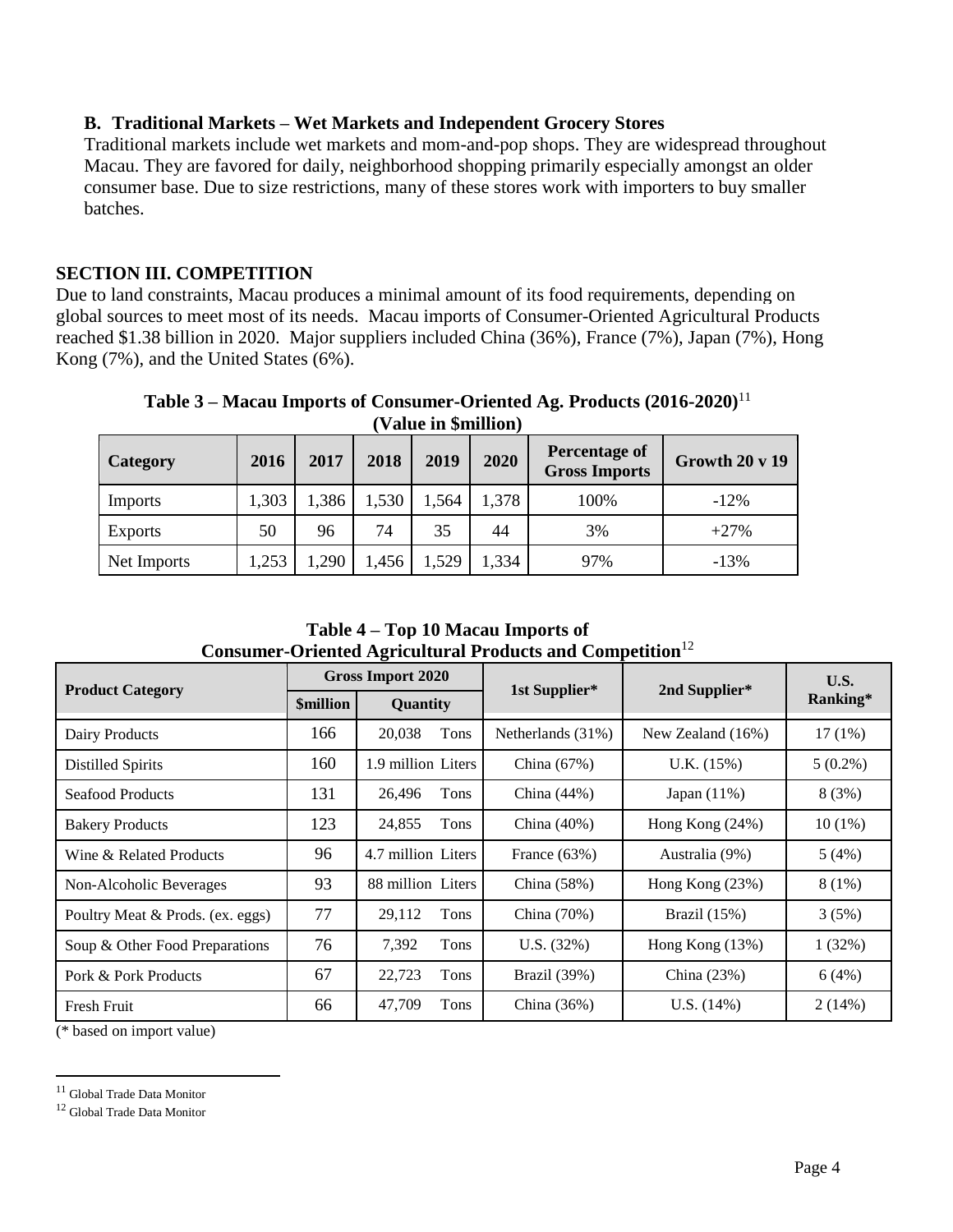# **B. Traditional Markets – Wet Markets and Independent Grocery Stores**

Traditional markets include wet markets and mom-and-pop shops. They are widespread throughout Macau. They are favored for daily, neighborhood shopping primarily especially amongst an older consumer base. Due to size restrictions, many of these stores work with importers to buy smaller batches.

# **SECTION III. COMPETITION**

Due to land constraints, Macau produces a minimal amount of its food requirements, depending on global sources to meet most of its needs. Macau imports of Consumer-Oriented Agricultural Products reached \$1.38 billion in 2020. Major suppliers included China (36%), France (7%), Japan (7%), Hong Kong (7%), and the United States (6%).

**Table 3 – Macau Imports of Consumer-Oriented Ag. Products (2016-2020)**<sup>11</sup> **(Value in \$million)**

| <b>Category</b> | 2016 | 2017  | 2018  | 2019  | 2020  | <b>Percentage of</b><br><b>Gross Imports</b> | Growth $20 \text{ y } 19$ |
|-----------------|------|-------|-------|-------|-------|----------------------------------------------|---------------------------|
| Imports         | ,303 | 1,386 | 1,530 | 1,564 | 1,378 | 100%                                         | $-12%$                    |
| Exports         | 50   | 96    | 74    | 35    | 44    | 3%                                           | $+27%$                    |
| Net Imports     | ,253 | 1,290 | 1,456 | 1,529 | 1,334 | 97%                                          | $-13%$                    |

**Table 4 – Top 10 Macau Imports of Consumer-Oriented Agricultural Products and Competition**<sup>12</sup>

| <b>Product Category</b>          |                  | Gross Import 2020  | 1st Supplier*     | 2nd Supplier*        | U.S.       |
|----------------------------------|------------------|--------------------|-------------------|----------------------|------------|
|                                  | <b>\$million</b> | Quantity           |                   |                      | Ranking*   |
| Dairy Products                   | 166              | 20,038<br>Tons     | Netherlands (31%) | New Zealand $(16\%)$ | $17(1\%)$  |
| Distilled Spirits                | 160              | 1.9 million Liters | China $(67%)$     | U.K. (15%)           | $5(0.2\%)$ |
| Seafood Products                 | 131              | 26,496<br>Tons     | China $(44%)$     | Japan $(11\%)$       | 8(3%)      |
| <b>Bakery Products</b>           | 123              | 24,855<br>Tons     | China $(40\%)$    | Hong Kong $(24%)$    | $10(1\%)$  |
| Wine & Related Products          | 96               | 4.7 million Liters | France $(63%)$    | Australia (9%)       | 5(4%)      |
| Non-Alcoholic Beverages          | 93               | 88 million Liters  | China $(58%)$     | Hong Kong $(23%)$    | $8(1\%)$   |
| Poultry Meat & Prods. (ex. eggs) | 77               | 29.112<br>Tons     | China (70%)       | Brazil $(15%)$       | 3(5%)      |
| Soup & Other Food Preparations   | 76               | 7,392<br>Tons      | U.S. (32%)        | Hong Kong $(13%)$    | 1(32%)     |
| Pork & Pork Products             | 67               | 22,723<br>Tons     | Brazil (39%)      | China $(23%)$        | 6(4%)      |
| <b>Fresh Fruit</b>               | 66               | 47,709<br>Tons     | China $(36%)$     | U.S. $(14%)$         | 2(14%)     |

(\* based on import value)

 $\overline{a}$ 

<sup>11</sup> Global Trade Data Monitor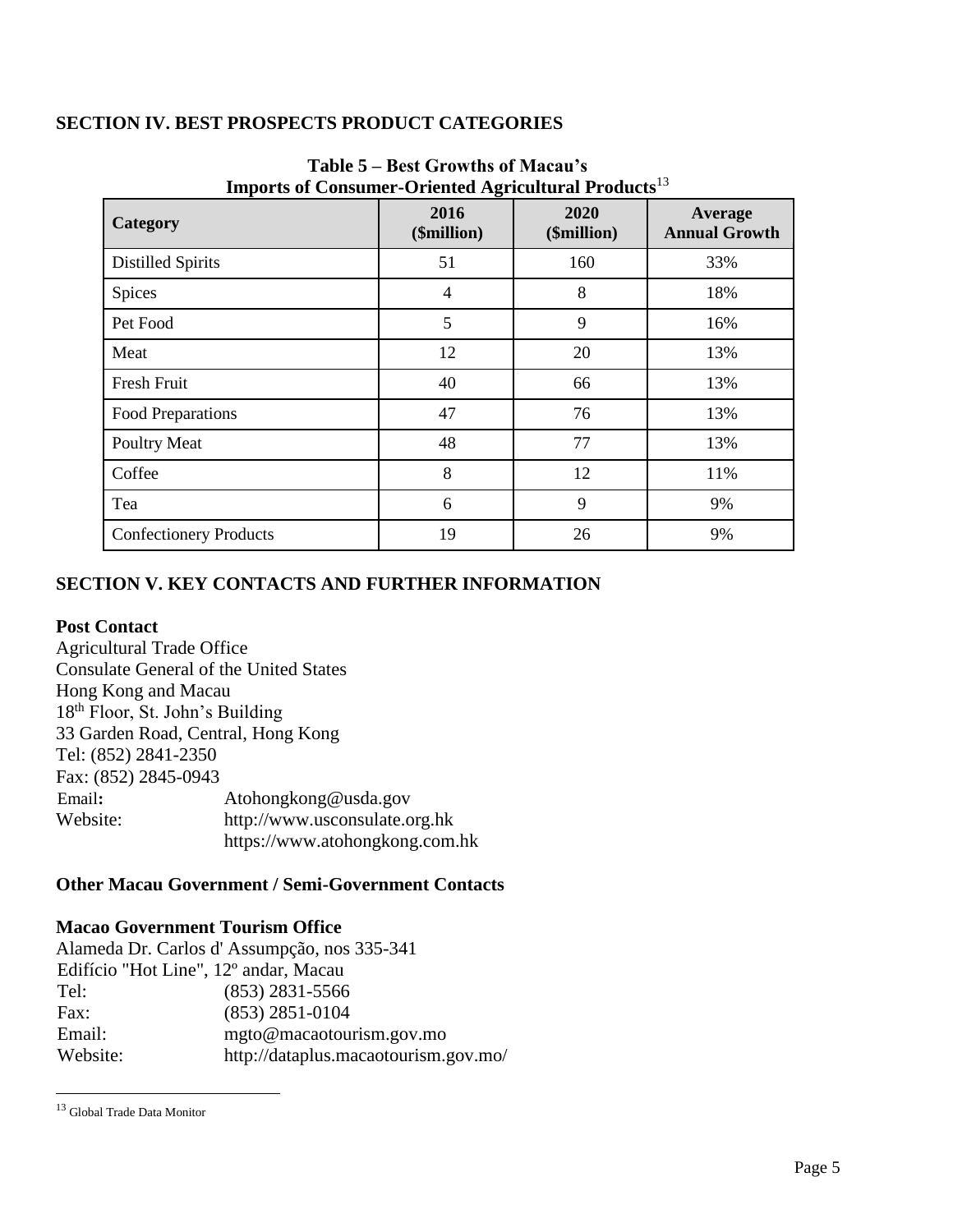# **SECTION IV. BEST PROSPECTS PRODUCT CATEGORIES**

| Thippi is of Consumer-Oriented Agricultural Frouncis |                     |                     |                                 |
|------------------------------------------------------|---------------------|---------------------|---------------------------------|
| Category                                             | 2016<br>(\$million) | 2020<br>(\$million) | Average<br><b>Annual Growth</b> |
| <b>Distilled Spirits</b>                             | 51                  | 160                 | 33%                             |
| Spices                                               | 4                   | 8                   | 18%                             |
| Pet Food                                             | 5                   | 9                   | 16%                             |
| Meat                                                 | 12                  | 20                  | 13%                             |
| <b>Fresh Fruit</b>                                   | 40                  | 66                  | 13%                             |
| Food Preparations                                    | 47                  | 76                  | 13%                             |
| <b>Poultry Meat</b>                                  | 48                  | 77                  | 13%                             |
| Coffee                                               | 8                   | 12                  | 11%                             |
| Tea                                                  | 6                   | 9                   | 9%                              |
| <b>Confectionery Products</b>                        | 19                  | 26                  | 9%                              |

# **Table 5 – Best Growths of Macau's Imports of Consumer-Oriented Agricultural Products**<sup>13</sup>

# **SECTION V. KEY CONTACTS AND FURTHER INFORMATION**

### **Post Contact**

Agricultural Trade Office Consulate General of the United States Hong Kong and Macau 18th Floor, St. John's Building 33 Garden Road, Central, Hong Kong Tel: (852) 2841-2350 Fax: (852) 2845-0943 Email**:** Atohongkong@usda.gov Website: http://www.usconsulate.org.hk https://www.atohongkong.com.hk

# **Other Macau Government / Semi-Government Contacts**

# **Macao Government Tourism Office**

|                                       | Alameda Dr. Carlos d'Assumpção, nos 335-341 |
|---------------------------------------|---------------------------------------------|
| Edifício "Hot Line", 12º andar, Macau |                                             |
| Tel:                                  | $(853)$ 2831-5566                           |
| Fax:                                  | $(853)$ 2851-0104                           |
| Email:                                | mgto@macaotourism.gov.mo                    |
| Website:                              | http://dataplus.macaotourism.gov.mo/        |

<sup>13</sup> Global Trade Data Monitor

 $\overline{\phantom{a}}$